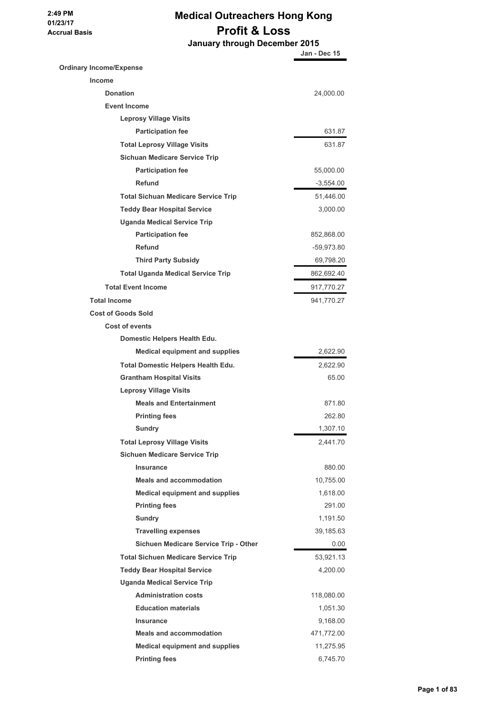## **Medical Outreachers Hong Kong Profit & Loss**

 **January through December 2015**

|                                            | Jan - Dec 15 |
|--------------------------------------------|--------------|
| <b>Ordinary Income/Expense</b>             |              |
| <b>Income</b>                              |              |
| <b>Donation</b>                            | 24,000.00    |
| <b>Event Income</b>                        |              |
| <b>Leprosy Village Visits</b>              |              |
| <b>Participation fee</b>                   | 631.87       |
| <b>Total Leprosy Village Visits</b>        | 631.87       |
| <b>Sichuan Medicare Service Trip</b>       |              |
| <b>Participation fee</b>                   | 55,000.00    |
| Refund                                     | $-3,554.00$  |
| <b>Total Sichuan Medicare Service Trip</b> | 51,446.00    |
| <b>Teddy Bear Hospital Service</b>         | 3,000.00     |
| <b>Uganda Medical Service Trip</b>         |              |
| <b>Participation fee</b>                   | 852,868.00   |
| <b>Refund</b>                              | -59,973.80   |
| <b>Third Party Subsidy</b>                 | 69,798.20    |
| <b>Total Uganda Medical Service Trip</b>   | 862,692.40   |
| <b>Total Event Income</b>                  | 917,770.27   |
| <b>Total Income</b>                        | 941,770.27   |
| <b>Cost of Goods Sold</b>                  |              |
| <b>Cost of events</b>                      |              |
| Domestic Helpers Health Edu.               |              |
| <b>Medical equipment and supplies</b>      | 2,622.90     |
| <b>Total Domestic Helpers Health Edu.</b>  | 2,622.90     |
| <b>Grantham Hospital Visits</b>            | 65.00        |
| <b>Leprosy Village Visits</b>              |              |
| <b>Meals and Entertainment</b>             | 871.80       |
| <b>Printing fees</b>                       | 262.80       |
| Sundry                                     | 1.307.10     |
| <b>Total Leprosy Village Visits</b>        | 2,441.70     |
| <b>Sichuen Medicare Service Trip</b>       |              |
| Insurance                                  | 880.00       |
| <b>Meals and accommodation</b>             | 10,755.00    |
| <b>Medical equipment and supplies</b>      | 1,618.00     |
| <b>Printing fees</b>                       | 291.00       |
| <b>Sundry</b>                              | 1,191.50     |
| <b>Travelling expenses</b>                 | 39,185.63    |
| Sichuen Medicare Service Trip - Other      | 0.00         |
| <b>Total Sichuen Medicare Service Trip</b> | 53,921.13    |
| <b>Teddy Bear Hospital Service</b>         | 4,200.00     |
| <b>Uganda Medical Service Trip</b>         |              |
| <b>Administration costs</b>                | 118,080.00   |
| <b>Education materials</b>                 | 1,051.30     |
| <b>Insurance</b>                           | 9,168.00     |
| <b>Meals and accommodation</b>             | 471,772.00   |
| <b>Medical equipment and supplies</b>      | 11,275.95    |
| <b>Printing fees</b>                       | 6,745.70     |
|                                            |              |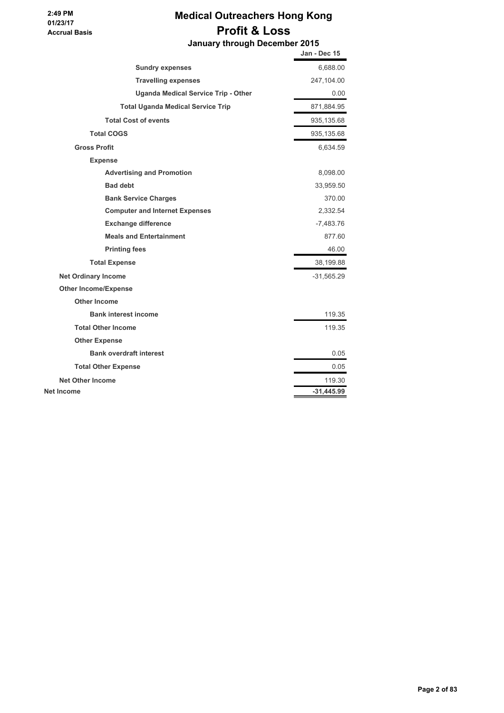## **Medical Outreachers Hong Kong Profit & Loss January through December 2015**

|                                            | Jan - Dec 15 |
|--------------------------------------------|--------------|
| <b>Sundry expenses</b>                     | 6,688.00     |
| <b>Travelling expenses</b>                 | 247,104.00   |
| <b>Uganda Medical Service Trip - Other</b> | 0.00         |
| <b>Total Uganda Medical Service Trip</b>   | 871,884.95   |
| <b>Total Cost of events</b>                | 935,135.68   |
| <b>Total COGS</b>                          | 935,135.68   |
| <b>Gross Profit</b>                        | 6,634.59     |
| <b>Expense</b>                             |              |
| <b>Advertising and Promotion</b>           | 8,098.00     |
| <b>Bad debt</b>                            | 33,959.50    |
| <b>Bank Service Charges</b>                | 370.00       |
| <b>Computer and Internet Expenses</b>      | 2,332.54     |
| <b>Exchange difference</b>                 | $-7,483.76$  |
| <b>Meals and Entertainment</b>             | 877.60       |
| <b>Printing fees</b>                       | 46.00        |
| <b>Total Expense</b>                       | 38,199.88    |
| <b>Net Ordinary Income</b>                 | $-31,565.29$ |
| <b>Other Income/Expense</b>                |              |
| <b>Other Income</b>                        |              |
| <b>Bank interest income</b>                | 119.35       |
| <b>Total Other Income</b>                  | 119.35       |
| <b>Other Expense</b>                       |              |
| <b>Bank overdraft interest</b>             | 0.05         |
| <b>Total Other Expense</b>                 | 0.05         |
| <b>Net Other Income</b>                    | 119.30       |
| Net Income                                 | $-31.445.99$ |